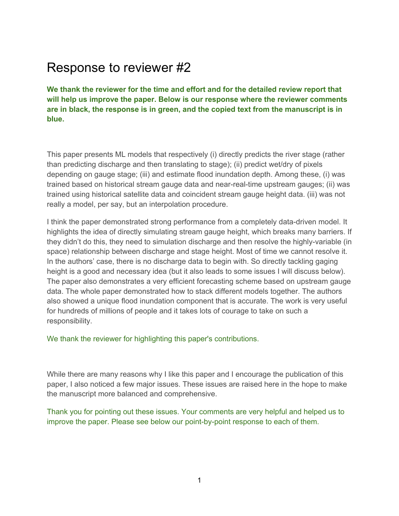## Response to reviewer #2

**We thank the reviewer for the time and effort and for the detailed review report that will help us improve the paper. Below is our response where the reviewer comments are in black, the response is in green, and the copied text from the manuscript is in blue.**

This paper presents ML models that respectively (i) directly predicts the river stage (rather than predicting discharge and then translating to stage); (ii) predict wet/dry of pixels depending on gauge stage; (iii) and estimate flood inundation depth. Among these, (i) was trained based on historical stream gauge data and near-real-time upstream gauges; (ii) was trained using historical satellite data and coincident stream gauge height data. (iii) was not really a model, per say, but an interpolation procedure.

I think the paper demonstrated strong performance from a completely data-driven model. It highlights the idea of directly simulating stream gauge height, which breaks many barriers. If they didn't do this, they need to simulation discharge and then resolve the highly-variable (in space) relationship between discharge and stage height. Most of time we cannot resolve it. In the authors' case, there is no discharge data to begin with. So directly tackling gaging height is a good and necessary idea (but it also leads to some issues I will discuss below). The paper also demonstrates a very efficient forecasting scheme based on upstream gauge data. The whole paper demonstrated how to stack different models together. The authors also showed a unique flood inundation component that is accurate. The work is very useful for hundreds of millions of people and it takes lots of courage to take on such a responsibility.

We thank the reviewer for highlighting this paper's contributions.

While there are many reasons why I like this paper and I encourage the publication of this paper, I also noticed a few major issues. These issues are raised here in the hope to make the manuscript more balanced and comprehensive.

Thank you for pointing out these issues. Your comments are very helpful and helped us to improve the paper. Please see below our point-by-point response to each of them.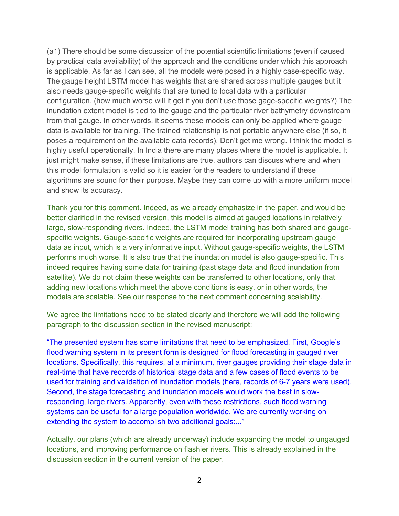(a1) There should be some discussion of the potential scientific limitations (even if caused by practical data availability) of the approach and the conditions under which this approach is applicable. As far as I can see, all the models were posed in a highly case-specific way. The gauge height LSTM model has weights that are shared across multiple gauges but it also needs gauge-specific weights that are tuned to local data with a particular configuration. (how much worse will it get if you don't use those gage-specific weights?) The inundation extent model is tied to the gauge and the particular river bathymetry downstream from that gauge. In other words, it seems these models can only be applied where gauge data is available for training. The trained relationship is not portable anywhere else (if so, it poses a requirement on the available data records). Don't get me wrong. I think the model is highly useful operationally. In India there are many places where the model is applicable. It just might make sense, if these limitations are true, authors can discuss where and when this model formulation is valid so it is easier for the readers to understand if these algorithms are sound for their purpose. Maybe they can come up with a more uniform model and show its accuracy.

Thank you for this comment. Indeed, as we already emphasize in the paper, and would be better clarified in the revised version, this model is aimed at gauged locations in relatively large, slow-responding rivers. Indeed, the LSTM model training has both shared and gaugespecific weights. Gauge-specific weights are required for incorporating upstream gauge data as input, which is a very informative input. Without gauge-specific weights, the LSTM performs much worse. It is also true that the inundation model is also gauge-specific. This indeed requires having some data for training (past stage data and flood inundation from satellite). We do not claim these weights can be transferred to other locations, only that adding new locations which meet the above conditions is easy, or in other words, the models are scalable. See our response to the next comment concerning scalability.

We agree the limitations need to be stated clearly and therefore we will add the following paragraph to the discussion section in the revised manuscript:

"The presented system has some limitations that need to be emphasized. First, Google's flood warning system in its present form is designed for flood forecasting in gauged river locations. Specifically, this requires, at a minimum, river gauges providing their stage data in real-time that have records of historical stage data and a few cases of flood events to be used for training and validation of inundation models (here, records of 6-7 years were used). Second, the stage forecasting and inundation models would work the best in slowresponding, large rivers. Apparently, even with these restrictions, such flood warning systems can be useful for a large population worldwide. We are currently working on extending the system to accomplish two additional goals:..."

Actually, our plans (which are already underway) include expanding the model to ungauged locations, and improving performance on flashier rivers. This is already explained in the discussion section in the current version of the paper.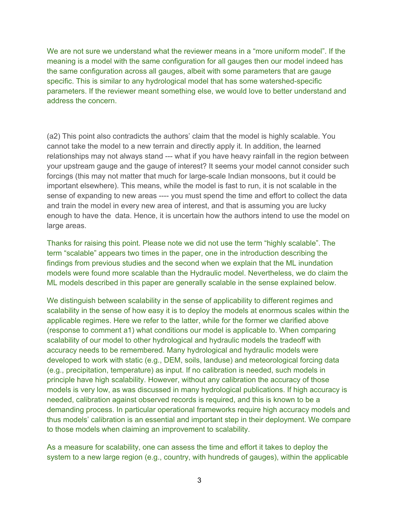We are not sure we understand what the reviewer means in a "more uniform model". If the meaning is a model with the same configuration for all gauges then our model indeed has the same configuration across all gauges, albeit with some parameters that are gauge specific. This is similar to any hydrological model that has some watershed-specific parameters. If the reviewer meant something else, we would love to better understand and address the concern.

(a2) This point also contradicts the authors' claim that the model is highly scalable. You cannot take the model to a new terrain and directly apply it. In addition, the learned relationships may not always stand --- what if you have heavy rainfall in the region between your upstream gauge and the gauge of interest? It seems your model cannot consider such forcings (this may not matter that much for large-scale Indian monsoons, but it could be important elsewhere). This means, while the model is fast to run, it is not scalable in the sense of expanding to new areas ---- you must spend the time and effort to collect the data and train the model in every new area of interest, and that is assuming you are lucky enough to have the data. Hence, it is uncertain how the authors intend to use the model on large areas.

Thanks for raising this point. Please note we did not use the term "highly scalable". The term "scalable" appears two times in the paper, one in the introduction describing the findings from previous studies and the second when we explain that the ML inundation models were found more scalable than the Hydraulic model. Nevertheless, we do claim the ML models described in this paper are generally scalable in the sense explained below.

We distinguish between scalability in the sense of applicability to different regimes and scalability in the sense of how easy it is to deploy the models at enormous scales within the applicable regimes. Here we refer to the latter, while for the former we clarified above (response to comment a1) what conditions our model is applicable to. When comparing scalability of our model to other hydrological and hydraulic models the tradeoff with accuracy needs to be remembered. Many hydrological and hydraulic models were developed to work with static (e.g., DEM, soils, landuse) and meteorological forcing data (e.g., precipitation, temperature) as input. If no calibration is needed, such models in principle have high scalability. However, without any calibration the accuracy of those models is very low, as was discussed in many hydrological publications. If high accuracy is needed, calibration against observed records is required, and this is known to be a demanding process. In particular operational frameworks require high accuracy models and thus models' calibration is an essential and important step in their deployment. We compare to those models when claiming an improvement to scalability.

As a measure for scalability, one can assess the time and effort it takes to deploy the system to a new large region (e.g., country, with hundreds of gauges), within the applicable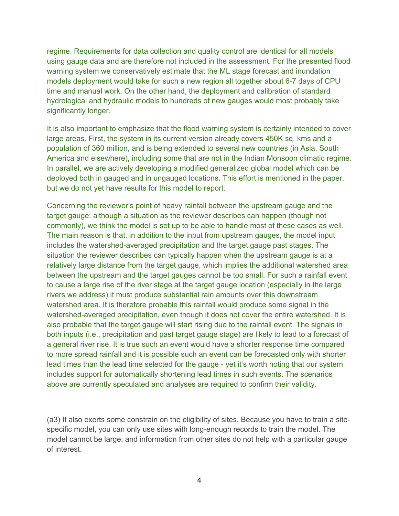regime. Requirements for data collection and quality control are identical for all models using gauge data and are therefore not included in the assessment. For the presented flood warning system we conservatively estimate that the ML stage forecast and inundation models deployment would take for such a new region all together about 6-7 days of CPU time and manual work. On the other hand, the deployment and calibration of standard hydrological and hydraulic models to hundreds of new gauges would most probably take significantly longer.

It is also important to emphasize that the flood warning system is certainly intended to cover large areas. First, the system in its current version already covers 450K sq. kms and a population of 360 million, and is being extended to several new countries (in Asia, South America and elsewhere), including some that are not in the Indian Monsoon climatic regime. In parallel, we are actively developing a modified generalized global model which can be deployed both in gauged and in ungauged locations. This effort is mentioned in the paper, but we do not yet have results for this model to report.

Concerning the reviewer's point of heavy rainfall between the upstream gauge and the target gauge: although a situation as the reviewer describes can happen (though not commonly), we think the model is set up to be able to handle most of these cases as well. The main reason is that, in addition to the input from upstream gauges, the model input includes the watershed-averaged precipitation and the target gauge past stages. The situation the reviewer describes can typically happen when the upstream gauge is at a relatively large distance from the target gauge, which implies the additional watershed area between the upstream and the target gauges cannot be too small. For such a rainfall event to cause a large rise of the river stage at the target gauge location (especially in the large rivers we address) it must produce substantial rain amounts over this downstream watershed area. It is therefore probable this rainfall would produce some signal in the watershed-averaged precipitation, even though it does not cover the entire watershed. It is also probable that the target gauge will start rising due to the rainfall event. The signals in both inputs (i.e., precipitation and past target gauge stage) are likely to lead to a forecast of a general river rise. It is true such an event would have a shorter response time compared to more spread rainfall and it is possible such an event can be forecasted only with shorter lead times than the lead time selected for the gauge - yet it's worth noting that our system includes support for automatically shortening lead times in such events. The scenarios above are currently speculated and analyses are required to confirm their validity.

(a3) It also exerts some constrain on the eligibility of sites. Because you have to train a sitespecific model, you can only use sites with long-enough records to train the model. The model cannot be large, and information from other sites do not help with a particular gauge of interest.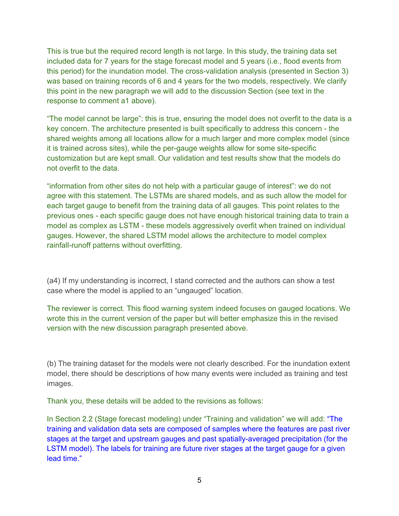This is true but the required record length is not large. In this study, the training data set included data for 7 years for the stage forecast model and 5 years (i.e., flood events from this period) for the inundation model. The cross-validation analysis (presented in Section 3) was based on training records of 6 and 4 years for the two models, respectively. We clarify this point in the new paragraph we will add to the discussion Section (see text in the response to comment a1 above).

"The model cannot be large": this is true, ensuring the model does not overfit to the data is a key concern. The architecture presented is built specifically to address this concern - the shared weights among all locations allow for a much larger and more complex model (since it is trained across sites), while the per-gauge weights allow for some site-specific customization but are kept small. Our validation and test results show that the models do not overfit to the data.

"information from other sites do not help with a particular gauge of interest": we do not agree with this statement. The LSTMs are shared models, and as such allow the model for each target gauge to benefit from the training data of all gauges. This point relates to the previous ones - each specific gauge does not have enough historical training data to train a model as complex as LSTM - these models aggressively overfit when trained on individual gauges. However, the shared LSTM model allows the architecture to model complex rainfall-runoff patterns without overfitting.

(a4) If my understanding is incorrect, I stand corrected and the authors can show a test case where the model is applied to an "ungauged" location.

The reviewer is correct. This flood warning system indeed focuses on gauged locations. We wrote this in the current version of the paper but will better emphasize this in the revised version with the new discussion paragraph presented above.

(b) The training dataset for the models were not clearly described. For the inundation extent model, there should be descriptions of how many events were included as training and test images.

Thank you, these details will be added to the revisions as follows:

In Section 2.2 (Stage forecast modeling) under "Training and validation" we will add: "The training and validation data sets are composed of samples where the features are past river stages at the target and upstream gauges and past spatially-averaged precipitation (for the LSTM model). The labels for training are future river stages at the target gauge for a given lead time."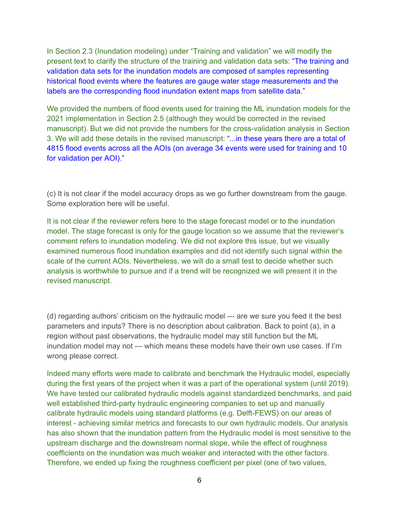In Section 2.3 (Inundation modeling) under "Training and validation" we will modify the present text to clarify the structure of the training and validation data sets: "The training and validation data sets for the inundation models are composed of samples representing historical flood events where the features are gauge water stage measurements and the labels are the corresponding flood inundation extent maps from satellite data."

We provided the numbers of flood events used for training the ML inundation models for the 2021 implementation in Section 2.5 (although they would be corrected in the revised manuscript). But we did not provide the numbers for the cross-validation analysis in Section 3. We will add these details in the revised manuscript: "...in these years there are a total of 4815 flood events across all the AOIs (on average 34 events were used for training and 10 for validation per AOI)."

(c) It is not clear if the model accuracy drops as we go further downstream from the gauge. Some exploration here will be useful.

It is not clear if the reviewer refers here to the stage forecast model or to the inundation model. The stage forecast is only for the gauge location so we assume that the reviewer's comment refers to inundation modeling. We did not explore this issue, but we visually examined numerous flood inundation examples and did not identify such signal within the scale of the current AOIs. Nevertheless, we will do a small test to decide whether such analysis is worthwhile to pursue and if a trend will be recognized we will present it in the revised manuscript.

(d) regarding authors' criticism on the hydraulic model --- are we sure you feed it the best parameters and inputs? There is no description about calibration. Back to point (a), in a region without past observations, the hydraulic model may still function but the ML inundation model may not --- which means these models have their own use cases. If I'm wrong please correct.

Indeed many efforts were made to calibrate and benchmark the Hydraulic model, especially during the first years of the project when it was a part of the operational system (until 2019). We have tested our calibrated hydraulic models against standardized benchmarks, and paid well established third-party hydraulic engineering companies to set up and manually calibrate hydraulic models using standard platforms (e.g. Delft-FEWS) on our areas of interest - achieving similar metrics and forecasts to our own hydraulic models. Our analysis has also shown that the inundation pattern from the Hydraulic model is most sensitive to the upstream discharge and the downstream normal slope, while the effect of roughness coefficients on the inundation was much weaker and interacted with the other factors. Therefore, we ended up fixing the roughness coefficient per pixel (one of two values,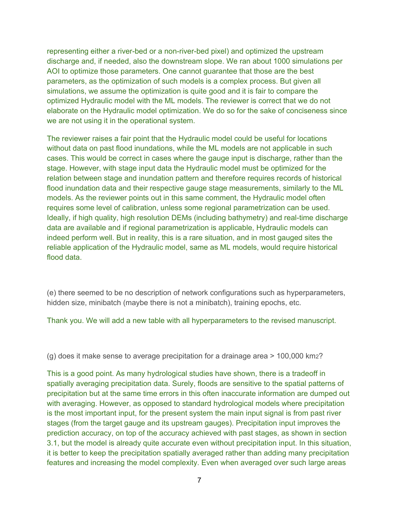representing either a river-bed or a non-river-bed pixel) and optimized the upstream discharge and, if needed, also the downstream slope. We ran about 1000 simulations per AOI to optimize those parameters. One cannot guarantee that those are the best parameters, as the optimization of such models is a complex process. But given all simulations, we assume the optimization is quite good and it is fair to compare the optimized Hydraulic model with the ML models. The reviewer is correct that we do not elaborate on the Hydraulic model optimization. We do so for the sake of conciseness since we are not using it in the operational system.

The reviewer raises a fair point that the Hydraulic model could be useful for locations without data on past flood inundations, while the ML models are not applicable in such cases. This would be correct in cases where the gauge input is discharge, rather than the stage. However, with stage input data the Hydraulic model must be optimized for the relation between stage and inundation pattern and therefore requires records of historical flood inundation data and their respective gauge stage measurements, similarly to the ML models. As the reviewer points out in this same comment, the Hydraulic model often requires some level of calibration, unless some regional parametrization can be used. Ideally, if high quality, high resolution DEMs (including bathymetry) and real-time discharge data are available and if regional parametrization is applicable, Hydraulic models can indeed perform well. But in reality, this is a rare situation, and in most gauged sites the reliable application of the Hydraulic model, same as ML models, would require historical flood data.

(e) there seemed to be no description of network configurations such as hyperparameters, hidden size, minibatch (maybe there is not a minibatch), training epochs, etc.

Thank you. We will add a new table with all hyperparameters to the revised manuscript.

(g) does it make sense to average precipitation for a drainage area > 100,000 km2?

This is a good point. As many hydrological studies have shown, there is a tradeoff in spatially averaging precipitation data. Surely, floods are sensitive to the spatial patterns of precipitation but at the same time errors in this often inaccurate information are dumped out with averaging. However, as opposed to standard hydrological models where precipitation is the most important input, for the present system the main input signal is from past river stages (from the target gauge and its upstream gauges). Precipitation input improves the prediction accuracy, on top of the accuracy achieved with past stages, as shown in section 3.1, but the model is already quite accurate even without precipitation input. In this situation, it is better to keep the precipitation spatially averaged rather than adding many precipitation features and increasing the model complexity. Even when averaged over such large areas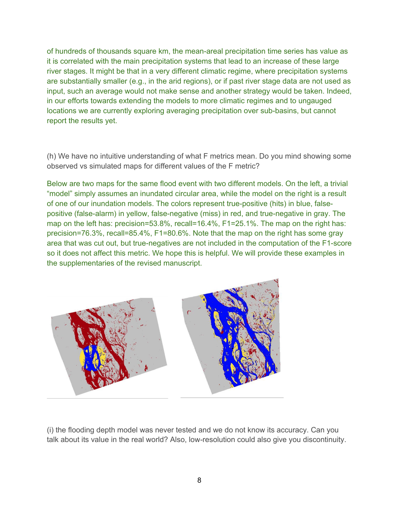of hundreds of thousands square km, the mean-areal precipitation time series has value as it is correlated with the main precipitation systems that lead to an increase of these large river stages. It might be that in a very different climatic regime, where precipitation systems are substantially smaller (e.g., in the arid regions), or if past river stage data are not used as input, such an average would not make sense and another strategy would be taken. Indeed, in our efforts towards extending the models to more climatic regimes and to ungauged locations we are currently exploring averaging precipitation over sub-basins, but cannot report the results yet.

(h) We have no intuitive understanding of what F metrics mean. Do you mind showing some observed vs simulated maps for different values of the F metric?

Below are two maps for the same flood event with two different models. On the left, a trivial "model" simply assumes an inundated circular area, while the model on the right is a result of one of our inundation models. The colors represent true-positive (hits) in blue, falsepositive (false-alarm) in yellow, false-negative (miss) in red, and true-negative in gray. The map on the left has: precision=53.8%, recall=16.4%, F1=25.1%. The map on the right has: precision=76.3%, recall=85.4%, F1=80.6%. Note that the map on the right has some gray area that was cut out, but true-negatives are not included in the computation of the F1-score so it does not affect this metric. We hope this is helpful. We will provide these examples in the supplementaries of the revised manuscript.



(i) the flooding depth model was never tested and we do not know its accuracy. Can you talk about its value in the real world? Also, low-resolution could also give you discontinuity.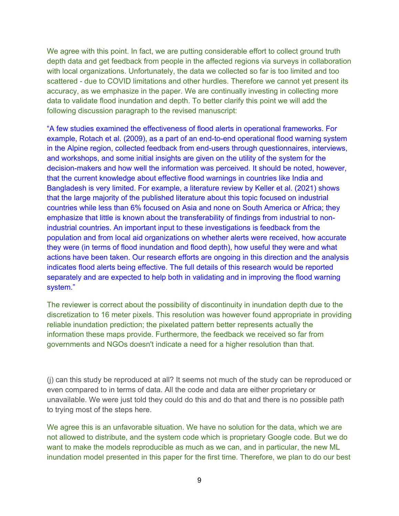We agree with this point. In fact, we are putting considerable effort to collect ground truth depth data and get feedback from people in the affected regions via surveys in collaboration with local organizations. Unfortunately, the data we collected so far is too limited and too scattered - due to COVID limitations and other hurdles. Therefore we cannot yet present its accuracy, as we emphasize in the paper. We are continually investing in collecting more data to validate flood inundation and depth. To better clarify this point we will add the following discussion paragraph to the revised manuscript:

"A few studies examined the effectiveness of flood alerts in operational frameworks. For example, Rotach et al. (2009), as a part of an end-to-end operational flood warning system in the Alpine region, collected feedback from end-users through questionnaires, interviews, and workshops, and some initial insights are given on the utility of the system for the decision-makers and how well the information was perceived. It should be noted, however, that the current knowledge about effective flood warnings in countries like India and Bangladesh is very limited. For example, a literature review by Keller et al. (2021) shows that the large majority of the published literature about this topic focused on industrial countries while less than 6% focused on Asia and none on South America or Africa; they emphasize that little is known about the transferability of findings from industrial to nonindustrial countries. An important input to these investigations is feedback from the population and from local aid organizations on whether alerts were received, how accurate they were (in terms of flood inundation and flood depth), how useful they were and what actions have been taken. Our research efforts are ongoing in this direction and the analysis indicates flood alerts being effective. The full details of this research would be reported separately and are expected to help both in validating and in improving the flood warning system."

The reviewer is correct about the possibility of discontinuity in inundation depth due to the discretization to 16 meter pixels. This resolution was however found appropriate in providing reliable inundation prediction; the pixelated pattern better represents actually the information these maps provide. Furthermore, the feedback we received so far from governments and NGOs doesn't indicate a need for a higher resolution than that.

(j) can this study be reproduced at all? It seems not much of the study can be reproduced or even compared to in terms of data. All the code and data are either proprietary or unavailable. We were just told they could do this and do that and there is no possible path to trying most of the steps here.

We agree this is an unfavorable situation. We have no solution for the data, which we are not allowed to distribute, and the system code which is proprietary Google code. But we do want to make the models reproducible as much as we can, and in particular, the new ML inundation model presented in this paper for the first time. Therefore, we plan to do our best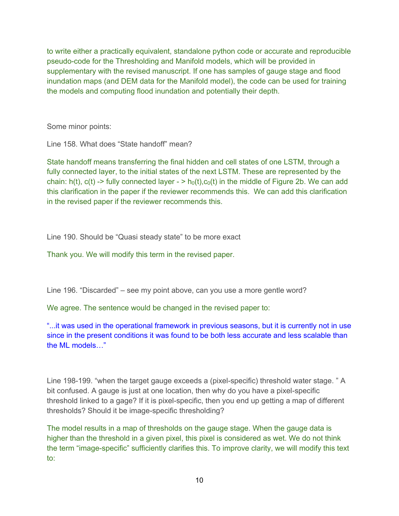to write either a practically equivalent, standalone python code or accurate and reproducible pseudo-code for the Thresholding and Manifold models, which will be provided in supplementary with the revised manuscript. If one has samples of gauge stage and flood inundation maps (and DEM data for the Manifold model), the code can be used for training the models and computing flood inundation and potentially their depth.

Some minor points:

Line 158. What does "State handoff" mean?

State handoff means transferring the final hidden and cell states of one LSTM, through a fully connected layer, to the initial states of the next LSTM. These are represented by the chain: h(t), c(t) -> fully connected layer - > h<sub>0</sub>(t),c<sub>0</sub>(t) in the middle of Figure 2b. We can add this clarification in the paper if the reviewer recommends this. We can add this clarification in the revised paper if the reviewer recommends this.

Line 190. Should be "Quasi steady state" to be more exact

Thank you. We will modify this term in the revised paper.

Line 196. "Discarded" – see my point above, can you use a more gentle word?

We agree. The sentence would be changed in the revised paper to:

"...it was used in the operational framework in previous seasons, but it is currently not in use since in the present conditions it was found to be both less accurate and less scalable than the ML models…"

Line 198-199. "when the target gauge exceeds a (pixel-specific) threshold water stage. " A bit confused. A gauge is just at one location, then why do you have a pixel-specific threshold linked to a gage? If it is pixel-specific, then you end up getting a map of different thresholds? Should it be image-specific thresholding?

The model results in a map of thresholds on the gauge stage. When the gauge data is higher than the threshold in a given pixel, this pixel is considered as wet. We do not think the term "image-specific" sufficiently clarifies this. To improve clarity, we will modify this text to: